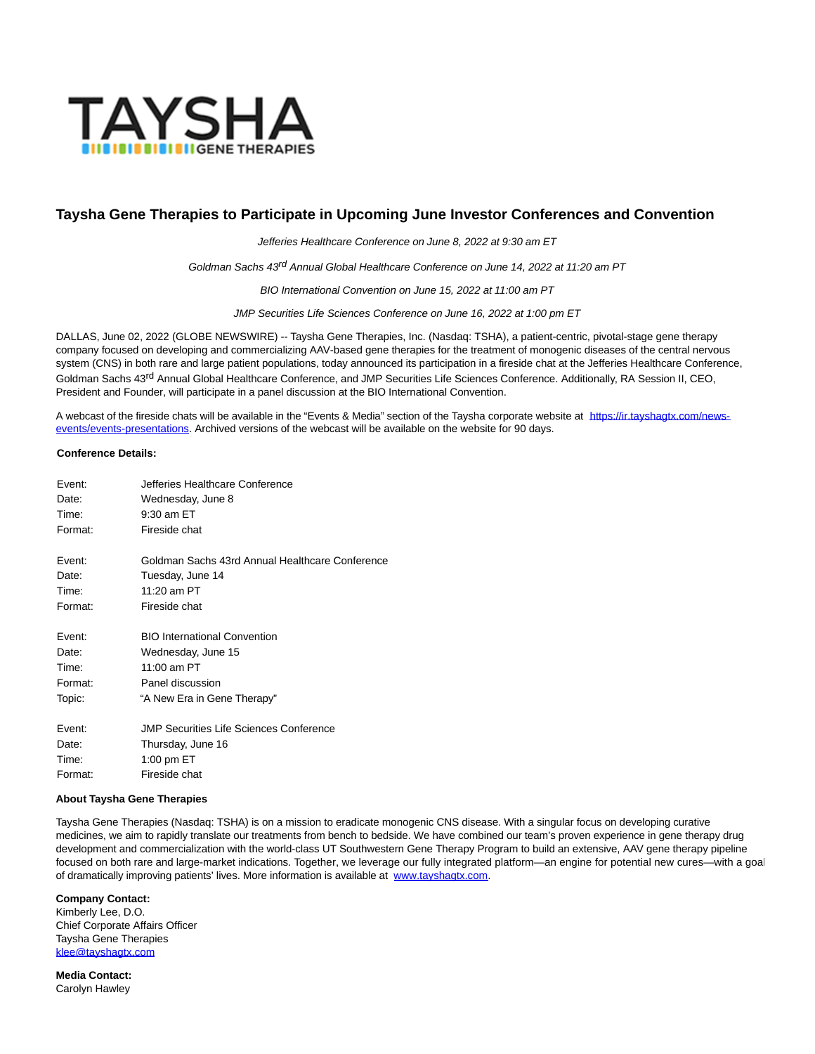

## **Taysha Gene Therapies to Participate in Upcoming June Investor Conferences and Convention**

Jefferies Healthcare Conference on June 8, 2022 at 9:30 am ET

Goldman Sachs 43<sup>rd</sup> Annual Global Healthcare Conference on June 14, 2022 at 11:20 am PT

BIO International Convention on June 15, 2022 at 11:00 am PT

JMP Securities Life Sciences Conference on June 16, 2022 at 1:00 pm ET

DALLAS, June 02, 2022 (GLOBE NEWSWIRE) -- Taysha Gene Therapies, Inc. (Nasdaq: TSHA), a patient-centric, pivotal-stage gene therapy company focused on developing and commercializing AAV-based gene therapies for the treatment of monogenic diseases of the central nervous system (CNS) in both rare and large patient populations, today announced its participation in a fireside chat at the Jefferies Healthcare Conference, Goldman Sachs 43<sup>rd</sup> Annual Global Healthcare Conference, and JMP Securities Life Sciences Conference. Additionally, RA Session II, CEO, President and Founder, will participate in a panel discussion at the BIO International Convention.

A webcast of the fireside chats will be available in the "Events & Media" section of the Taysha corporate website at [https://ir.tayshagtx.com/news](https://www.globenewswire.com/Tracker?data=c0mPxBAm8Yi4pts1EOIXibRlpRxfz-gc-kzyy6PBpZbWR8STKdUmzJdcbSRktUBMRGRSwHHseTwg9yoRUgJKzXNo3eSlqxCxWEse4c0oe6wNWLnTB2_TpM6AdGK-iIKWqLxvkLC55sP0_WU1S6gAYJ_v_-aN9GTlwLjRdBFGBvbXBuHcYAqVXByYfcV2SCGX)events/events-presentations. Archived versions of the webcast will be available on the website for 90 days.

## **Conference Details:**

| Fvent:  | Jefferies Healthcare Conference                 |
|---------|-------------------------------------------------|
| Date:   | Wednesday, June 8                               |
| Time:   | 9:30 am ET                                      |
| Format: | Fireside chat                                   |
| Fvent:  | Goldman Sachs 43rd Annual Healthcare Conference |
| Date:   | Tuesday, June 14                                |
| Time:   | $11:20$ am PT                                   |
| Format: | Fireside chat                                   |
| Fvent:  | <b>BIO International Convention</b>             |
| Date:   | Wednesday, June 15                              |
| Time:   | 11:00 am PT                                     |
| Format: | Panel discussion                                |
| Topic:  | "A New Era in Gene Therapy"                     |
| Fvent:  | JMP Securities Life Sciences Conference         |
| Date:   | Thursday, June 16                               |
| Time:   | 1:00 pm ET                                      |
| Format: | Fireside chat                                   |

## **About Taysha Gene Therapies**

Taysha Gene Therapies (Nasdaq: TSHA) is on a mission to eradicate monogenic CNS disease. With a singular focus on developing curative medicines, we aim to rapidly translate our treatments from bench to bedside. We have combined our team's proven experience in gene therapy drug development and commercialization with the world-class UT Southwestern Gene Therapy Program to build an extensive, AAV gene therapy pipeline focused on both rare and large-market indications. Together, we leverage our fully integrated platform—an engine for potential new cures—with a goal of dramatically improving patients' lives. More information is available at [www.tayshagtx.com.](https://www.globenewswire.com/Tracker?data=1DXtEDA_ccK1oOeewJPXrBp-GFkZjaZrdBTjsbHebNSzFWHNl_m3OVj8KWCBWIV-Ofkdth_Yhs2ukPGIYmkSFw==)

**Company Contact:**

Kimberly Lee, D.O. Chief Corporate Affairs Officer Taysha Gene Therapies [klee@tayshagtx.com](https://www.globenewswire.com/Tracker?data=pL1wonfxW4KFFWXGmXAvWYhX57qYX5u9PqM_Vn2JctHLzxg7Gdf-tMJgaob2iekR9EV6JtRGLPKDwRwTHeqAD1VVRLT2S-Red-vmdHBqQjg=)

**Media Contact:** Carolyn Hawley